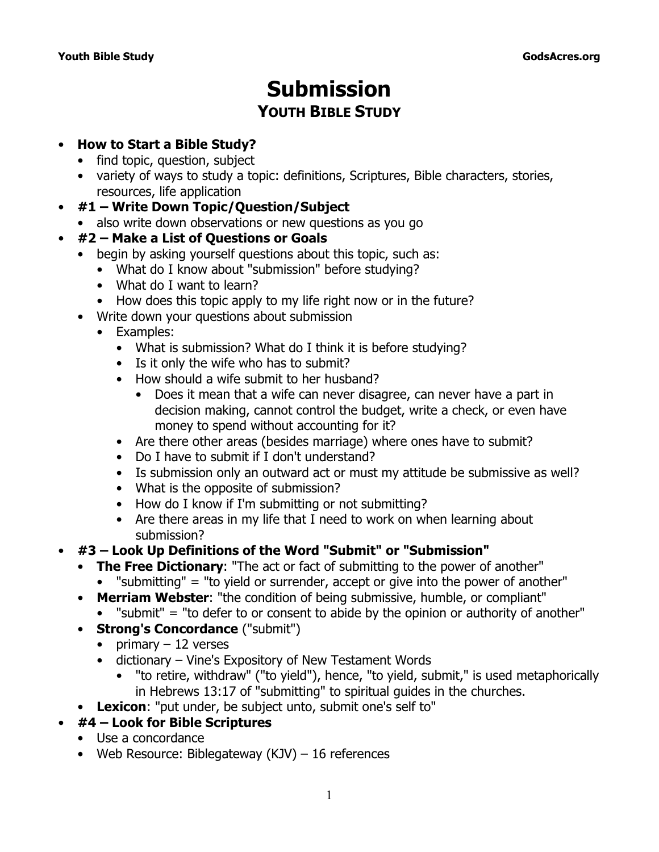# **Submission YOUTH BIBLE STUDY**

### • **How to Start a Bible Study?**

- find topic, question, subject
- variety of ways to study a topic: definitions, Scriptures, Bible characters, stories, resources, life application
- **#1 Write Down Topic/Question/Subject**
	- also write down observations or new questions as you go

## • **#2 – Make a List of Questions or Goals**

- begin by asking yourself questions about this topic, such as:
	- What do I know about "submission" before studying?
	- What do I want to learn?
	- How does this topic apply to my life right now or in the future?
- Write down your questions about submission
	- Examples:
		- What is submission? What do I think it is before studying?
		- Is it only the wife who has to submit?
		- How should a wife submit to her husband?
			- Does it mean that a wife can never disagree, can never have a part in decision making, cannot control the budget, write a check, or even have money to spend without accounting for it?
		- Are there other areas (besides marriage) where ones have to submit?
		- Do I have to submit if I don't understand?
		- Is submission only an outward act or must my attitude be submissive as well?
		- What is the opposite of submission?
		- How do I know if I'm submitting or not submitting?
		- Are there areas in my life that I need to work on when learning about submission?
- **#3 Look Up Definitions of the Word "Submit" or "Submission"**
	- **The Free Dictionary**: "The act or fact of submitting to the power of another"
		- "submitting" = "to yield or surrender, accept or give into the power of another"
	- **Merriam Webster**: "the condition of being submissive, humble, or compliant"
		- "submit" = "to defer to or consent to abide by the opinion or authority of another"
	- **Strong's Concordance** ("submit")
		- primary  $-12$  verses
		- dictionary *Vine's Expository of New Testament Words*
			- "to retire, withdraw" ("to yield"), hence, "to yield, submit," is used metaphorically in Hebrews 13:17 of "submitting" to spiritual guides in the churches.
	- **Lexicon**: "put under, be subject unto, submit one's self to"
- **#4 Look for Bible Scriptures**
	- Use a concordance
	- Web Resource: Biblegateway  $(KJV) 16$  references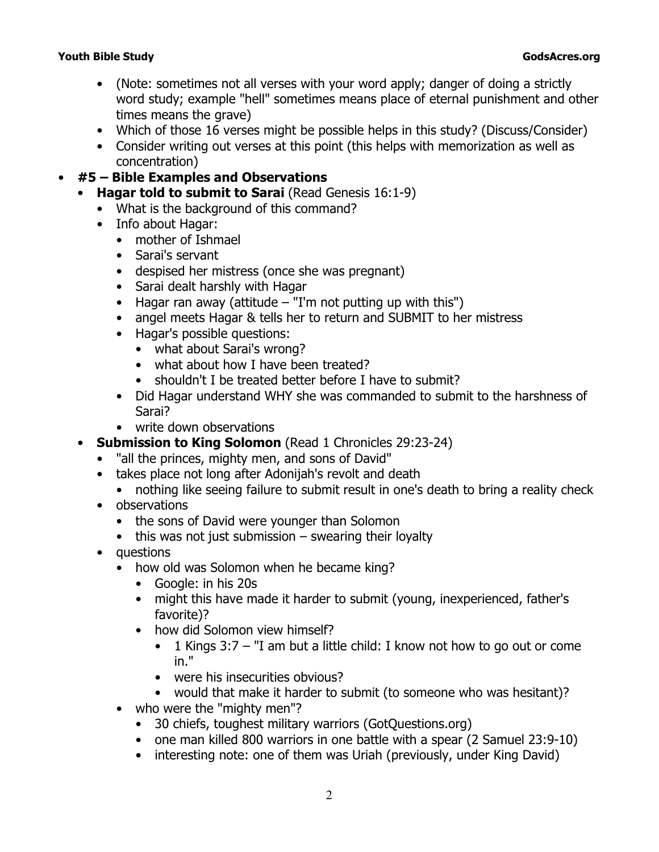- (Note: sometimes not all verses with your word apply; danger of doing a strictly word study; example "hell" sometimes means place of eternal punishment and other times means the grave)
- Which of those 16 verses might be possible helps in this study? (Discuss/Consider)
- Consider writing out verses at this point (this helps with memorization as well as concentration)

# • **#5 – Bible Examples and Observations**

- **Hagar told to submit to Sarai** (Read Genesis 16:1-9)
- What is the background of this command?
- Info about Hagar:
	- mother of Ishmael
	- Sarai's servant
	- despised her mistress (once she was pregnant)
	- Sarai dealt harshly with Hagar
	- Hagar ran away (attitude  $-$  "I'm not putting up with this")
	- angel meets Hagar & tells her to return and SUBMIT to her mistress
	- Hagar's possible questions:
		- what about Sarai's wrong?
		- what about how I have been treated?
		- shouldn't I be treated better before I have to submit?
	- Did Hagar understand WHY she was commanded to submit to the harshness of Sarai?
	- write down observations
- **Submission to King Solomon** (Read 1 Chronicles 29:23-24)
	- *"all the princes, mighty men, and sons of David"*
	- takes place not long after Adonijah's revolt and death
		- nothing like seeing failure to submit result in one's death to bring a reality check
	- observations
		- the sons of David were younger than Solomon
		- $\bullet$  this was not just submission  $-$  swearing their loyalty
	- questions
		- how old was Solomon when he became king?
			- Google: in his 20s
			- might this have made it harder to submit (young, inexperienced, father's favorite)?
			- how did Solomon view himself?
				- 1 Kings 3:7  *"I am but a little child: I know not how to go out or come in."*
				- were his insecurities obvious?
				- would that make it harder to submit (to someone who was hesitant)?
		- who were the *"mighty men"*?
			- 30 chiefs, toughest military warriors (*GotQuestions.org*)
			- one man killed 800 warriors in one battle with a spear (2 Samuel 23:9-10)
			- interesting note: one of them was Uriah (previously, under King David)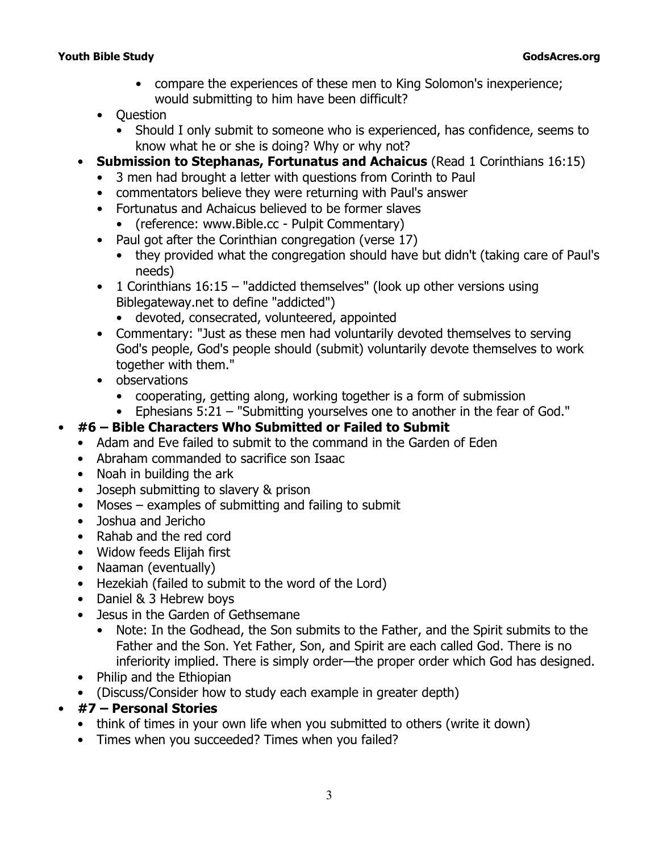#### **Youth Bible Study GodsAcres.org**

- compare the experiences of these men to King Solomon's inexperience; would submitting to him have been difficult?
- Question
	- Should I only submit to someone who is experienced, has confidence, seems to know what he or she is doing? Why or why not?
- **Submission to Stephanas, Fortunatus and Achaicus** (Read 1 Corinthians 16:15)
	- 3 men had brought a letter with questions from Corinth to Paul
	- commentators believe they were returning with Paul's answer
	- Fortunatus and Achaicus believed to be former slaves
		- (reference: *www.Bible.cc Pulpit Commentary*)
	- Paul got after the Corinthian congregation (verse 17)
		- they provided what the congregation should have but didn't (taking care of Paul's needs)
	- 1 Corinthians 16:15 "addicted themselves" (look up other versions using Biblegateway.net to define "addicted")
		- devoted, consecrated, volunteered, appointed
	- Commentary: "Just as these men had voluntarily devoted themselves to serving God's people, God's people should (submit) voluntarily devote themselves to work together with them."
	- observations
		- cooperating, getting along, working together is a form of submission
		- Ephesians 5:21 *"Submitting yourselves one to another in the fear of God."*

# • **#6 – Bible Characters Who Submitted or Failed to Submit**

- Adam and Eve failed to submit to the command in the Garden of Eden
- Abraham commanded to sacrifice son Isaac
- Noah in building the ark
- Joseph submitting to slavery & prison
- Moses examples of submitting and failing to submit
- Joshua and Jericho
- Rahab and the red cord
- Widow feeds Elijah first
- Naaman (eventually)
- Hezekiah (failed to submit to the word of the Lord)
- Daniel & 3 Hebrew boys
- Jesus in the Garden of Gethsemane
	- Note: In the Godhead, the Son submits to the Father, and the Spirit submits to the Father and the Son. Yet Father, Son, and Spirit are each called God. There is no inferiority implied. There is simply order—the proper order which God has designed.
- Philip and the Ethiopian
- (Discuss/Consider how to study each example in greater depth)

#### • **#7 – Personal Stories**

- think of times in your own life when you submitted to others (write it down)
- Times when you succeeded? Times when you failed?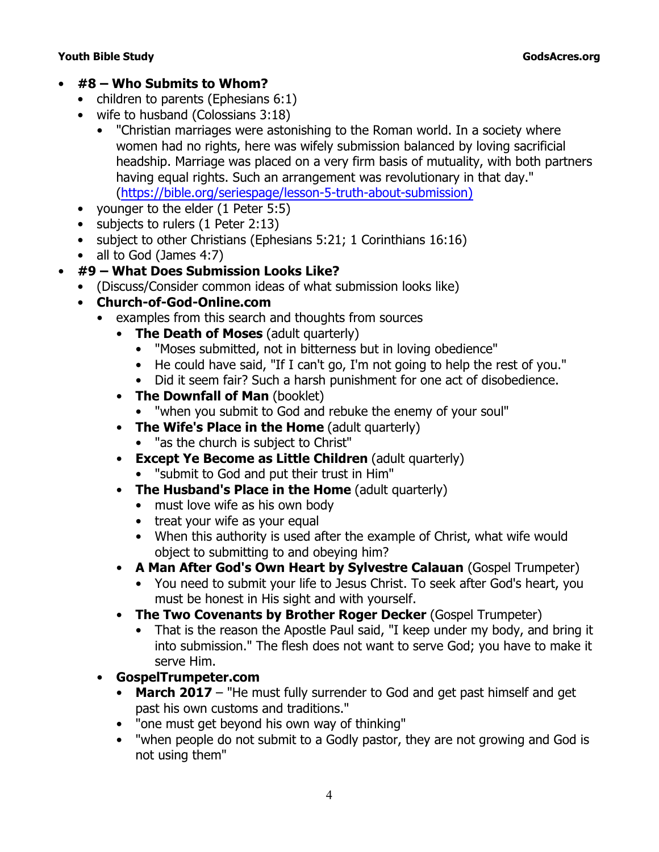#### **Youth Bible Study GodsAcres.org**

- **#8 Who Submits to Whom?**
	- children to parents (Ephesians 6:1)
	- wife to husband (Colossians 3:18)
		- "Christian marriages were astonishing to the Roman world. In a society where women had no rights, here was wifely submission balanced by loving sacrificial headship. Marriage was placed on a very firm basis of mutuality, with both partners having equal rights. Such an arrangement was revolutionary in that day." (https://bible.org/seriespage/lesson-5-truth-about-submission)
	- younger to the elder (1 Peter 5:5)
	- subjects to rulers (1 Peter 2:13)
	- subject to other Christians (Ephesians 5:21; 1 Corinthians 16:16)
	- all to God (James 4:7)
- **#9 What Does Submission Looks Like?**
	- (Discuss/Consider common ideas of what submission looks like)
	- **Church-of-God-Online.com**
		- examples from this search and thoughts from sources
			- **The Death of Moses** (adult quarterly)
				- "Moses submitted, not in bitterness but in loving obedience"
				- He could have said, "If I can't go, I'm not going to help the rest of you."
				- Did it seem fair? Such a harsh punishment for one act of disobedience.
			- **The Downfall of Man** (booklet)
				- "when you submit to God and rebuke the enemy of your soul"
			- **The Wife's Place in the Home** (adult quarterly)
				- "as the church is subject to Christ"
			- **Except Ye Become as Little Children** (adult quarterly)
				- "submit to God and put their trust in Him"
			- **The Husband's Place in the Home** (adult quarterly)
				- must love wife as his own body
				- treat your wife as your equal
				- When this authority is used after the example of Christ, what wife would object to submitting to and obeying him?
			- **A Man After God's Own Heart by Sylvestre Calauan** (Gospel Trumpeter)
				- You need to submit your life to Jesus Christ. To seek after God's heart, you must be honest in His sight and with yourself.
			- **The Two Covenants by Brother Roger Decker** (Gospel Trumpeter)
				- That is the reason the Apostle Paul said, "I keep under my body, and bring it into submission." The flesh does not want to serve God; you have to make it serve Him.
		- **GospelTrumpeter.com**
			- **March 2017** "He must fully surrender to God and get past himself and get past his own customs and traditions."
			- "one must get beyond his own way of thinking"
			- "when people do not submit to a Godly pastor, they are not growing and God is not using them"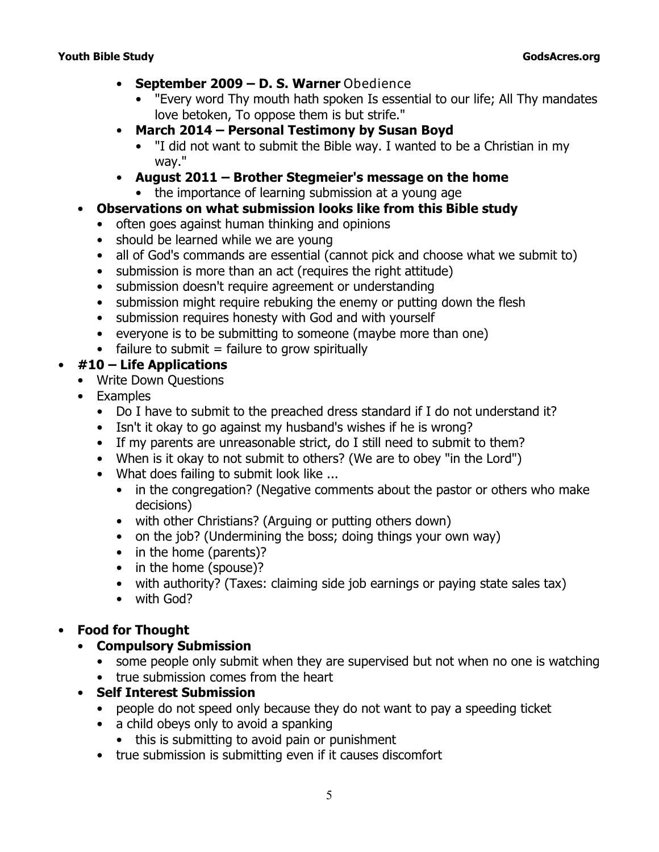- **September 2009 D. S. Warner** *Obedience*
	- "Every word Thy mouth hath spoken Is essential to our life; All Thy mandates love betoken, To oppose them is but strife."
- **March 2014 Personal Testimony by Susan Boyd**
	- "I did not want to submit the Bible way. I wanted to be a Christian in my way."
- **August 2011 Brother Stegmeier's message on the home** • the importance of learning submission at a young age
- **Observations on what submission looks like from this Bible study**
	- often goes against human thinking and opinions
	- should be learned while we are young
	- all of God's commands are essential (cannot pick and choose what we submit to)
	- submission is more than an act (requires the right attitude)
	- submission doesn't require agreement or understanding
	- submission might require rebuking the enemy or putting down the flesh
	- submission requires honesty with God and with yourself
	- everyone is to be submitting to someone (maybe more than one)
	- $\bullet$  failure to submit = failure to grow spiritually

## • **#10 – Life Applications**

- Write Down Questions
- Examples
	- Do I have to submit to the preached dress standard if I do not understand it?
	- Isn't it okay to go against my husband's wishes if he is wrong?
	- If my parents are unreasonable strict, do I still need to submit to them?
	- When is it okay to not submit to others? (We are to obey "in the Lord")
	- What does failing to submit look like ...
		- in the congregation? (Negative comments about the pastor or others who make decisions)
		- with other Christians? (Arguing or putting others down)
		- on the job? (Undermining the boss; doing things your own way)
		- in the home (parents)?
		- in the home (spouse)?
		- with authority? (Taxes: claiming side job earnings or paying state sales tax)
		- with God?

# • **Food for Thought**

# • **Compulsory Submission**

- some people only submit when they are supervised but not when no one is watching
- true submission comes from the heart

# • **Self Interest Submission**

- people do not speed only because they do not want to pay a speeding ticket
- a child obeys only to avoid a spanking
	- this is submitting to avoid pain or punishment
- true submission is submitting even if it causes discomfort